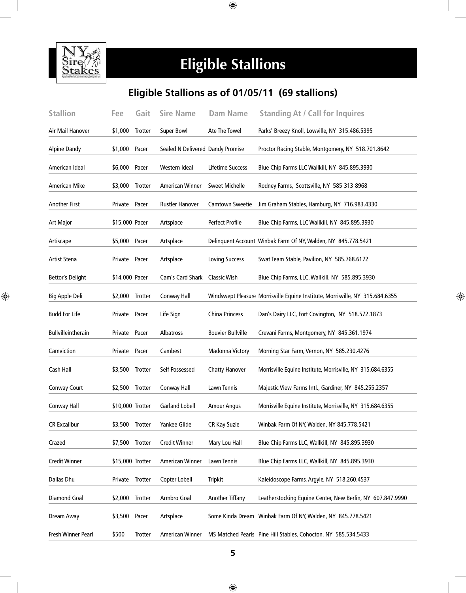

### **Eligible Stallions Eligible Stallions**

#### **Eligible Stallions as of 01/05/11 (69 stallions)**

| <b>Stallion</b>         | Fee              | Gait           | <b>Sire Name</b>                 | <b>Dam Name</b>          | <b>Standing At / Call for Inquires</b>                                        |
|-------------------------|------------------|----------------|----------------------------------|--------------------------|-------------------------------------------------------------------------------|
| Air Mail Hanover        | \$1,000          | <b>Trotter</b> | <b>Super Bowl</b>                | Ate The Towel            | Parks' Breezy Knoll, Lowville, NY 315.486.5395                                |
| <b>Alpine Dandy</b>     | \$1,000 Pacer    |                | Sealed N Delivered Dandy Promise |                          | Proctor Racing Stable, Montgomery, NY 518.701.8642                            |
| American Ideal          | \$6,000 Pacer    |                | Western Ideal                    | Lifetime Success         | Blue Chip Farms LLC Wallkill, NY 845.895.3930                                 |
| American Mike           | \$3,000          | Trotter        | <b>American Winner</b>           | <b>Sweet Michelle</b>    | Rodney Farms, Scottsville, NY 585-313-8968                                    |
| <b>Another First</b>    | Private Pacer    |                | <b>Rustler Hanover</b>           | Camtown Sweetie          | Jim Graham Stables, Hamburg, NY 716.983.4330                                  |
| <b>Art Major</b>        | \$15,000 Pacer   |                | Artsplace                        | Perfect Profile          | Blue Chip Farms, LLC Wallkill, NY 845.895.3930                                |
| Artiscape               | \$5,000 Pacer    |                | Artsplace                        |                          | Delinquent Account Winbak Farm Of NY, Walden, NY 845.778.5421                 |
| Artist Stena            | Private Pacer    |                | Artsplace                        | <b>Loving Success</b>    | Swat Team Stable, Pavilion, NY 585.768.6172                                   |
| <b>Bettor's Delight</b> | \$14,000 Pacer   |                | Cam's Card Shark                 | <b>Classic Wish</b>      | Blue Chip Farms, LLC. Wallkill, NY 585.895.3930                               |
| Big Apple Deli          | \$2,000          | Trotter        | Conway Hall                      |                          | Windswept Pleasure Morrisville Equine Institute, Morrisville, NY 315.684.6355 |
| <b>Budd For Life</b>    | Private Pacer    |                | Life Sign                        | China Princess           | Dan's Dairy LLC, Fort Covington, NY 518.572.1873                              |
| Bullvilleintherain      | Private Pacer    |                | Albatross                        | <b>Bouvier Bullville</b> | Crevani Farms, Montgomery, NY 845.361.1974                                    |
| Camviction              | Private          | Pacer          | Cambest                          | Madonna Victory          | Morning Star Farm, Vernon, NY 585.230.4276                                    |
| Cash Hall               | \$3,500 Trotter  |                | Self Possessed                   | <b>Chatty Hanover</b>    | Morrisville Equine Institute, Morrisville, NY 315.684.6355                    |
| Conway Court            | \$2,500 Trotter  |                | Conway Hall                      | Lawn Tennis              | Majestic View Farms Intl., Gardiner, NY 845.255.2357                          |
| Conway Hall             | \$10,000 Trotter |                | <b>Garland Lobell</b>            | <b>Amour Angus</b>       | Morrisville Equine Institute, Morrisville, NY 315.684.6355                    |
| <b>CR Excalibur</b>     | \$3,500 Trotter  |                | Yankee Glide                     | <b>CR Kay Suzie</b>      | Winbak Farm Of NY, Walden, NY 845.778.5421                                    |
| Crazed                  | \$7,500 Trotter  |                | <b>Credit Winner</b>             | Mary Lou Hall            | Blue Chip Farms LLC, Wallkill, NY 845.895.3930                                |
| <b>Credit Winner</b>    | \$15,000 Trotter |                | American Winner                  | Lawn Tennis              | Blue Chip Farms LLC, Wallkill, NY 845.895.3930                                |
| Dallas Dhu              | Private Trotter  |                | Copter Lobell                    | <b>Tripkit</b>           | Kaleidoscope Farms, Argyle, NY 518.260.4537                                   |
| <b>Diamond Goal</b>     | \$2,000          | Trotter        | Armbro Goal                      | <b>Another Tiffany</b>   | Leatherstocking Equine Center, New Berlin, NY 607.847.9990                    |
| Dream Away              | \$3,500 Pacer    |                | Artsplace                        |                          | Some Kinda Dream Winbak Farm Of NY, Walden, NY 845.778.5421                   |
| Fresh Winner Pearl      | \$500            | Trotter        | American Winner                  |                          | MS Matched Pearls Pine Hill Stables, Cohocton, NY 585.534.5433                |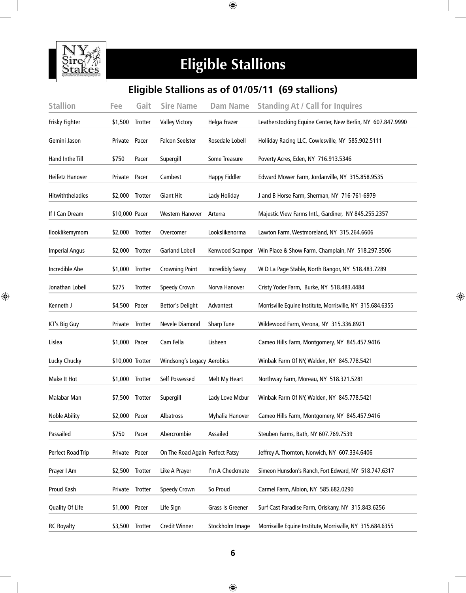

## **Eligible Stallions**

#### **Eligible Stallions as of 01/05/11 (69 stallions)**

| <b>Stallion</b>         | Fee              | Gait           | <b>Sire Name</b>                | <b>Dam Name</b>         | <b>Standing At / Call for Inquires</b>                     |
|-------------------------|------------------|----------------|---------------------------------|-------------------------|------------------------------------------------------------|
| Frisky Fighter          | \$1,500          | <b>Trotter</b> | <b>Valley Victory</b>           | Helga Frazer            | Leatherstocking Equine Center, New Berlin, NY 607.847.9990 |
| Gemini Jason            | Private          | Pacer          | <b>Falcon Seelster</b>          | Rosedale Lobell         | Holliday Racing LLC, Cowlesville, NY 585.902.5111          |
| Hand Inthe Till         | \$750            | Pacer          | Supergill                       | Some Treasure           | Poverty Acres, Eden, NY 716.913.5346                       |
| Heifetz Hanover         | Private          | Pacer          | Cambest                         | <b>Happy Fiddler</b>    | Edward Mower Farm, Jordanville, NY 315.858.9535            |
| <b>Hitwiththeladies</b> | \$2,000          | Trotter        | <b>Giant Hit</b>                | Lady Holiday            | J and B Horse Farm, Sherman, NY 716-761-6979               |
| If I Can Dream          | \$10,000 Pacer   |                | Western Hanover                 | Arterra                 | Majestic View Farms Intl., Gardiner, NY 845.255.2357       |
| Ilooklikemymom          | \$2,000          | Trotter        | Overcomer                       | Lookslikenorma          | Lawton Farm, Westmoreland, NY 315.264.6606                 |
| <b>Imperial Angus</b>   | \$2,000          | Trotter        | <b>Garland Lobell</b>           | Kenwood Scamper         | Win Place & Show Farm, Champlain, NY 518.297.3506          |
| Incredible Abe          | \$1,000          | Trotter        | <b>Crowning Point</b>           | <b>Incredibly Sassy</b> | W D La Page Stable, North Bangor, NY 518.483.7289          |
| Jonathan Lobell         | \$275            | Trotter        | Speedy Crown                    | Norva Hanover           | Cristy Yoder Farm, Burke, NY 518.483.4484                  |
| Kenneth J               | \$4,500          | Pacer          | <b>Bettor's Delight</b>         | Advantest               | Morrisville Equine Institute, Morrisville, NY 315.684.6355 |
| KT's Big Guy            | Private          | Trotter        | Nevele Diamond                  | <b>Sharp Tune</b>       | Wildewood Farm, Verona, NY 315.336.8921                    |
| Lislea                  | \$1,000          | Pacer          | Cam Fella                       | Lisheen                 | Cameo Hills Farm, Montgomery, NY 845.457.9416              |
| Lucky Chucky            | \$10,000 Trotter |                | Windsong's Legacy Aerobics      |                         | Winbak Farm Of NY, Walden, NY 845.778.5421                 |
| Make It Hot             | \$1,000 Trotter  |                | Self Possessed                  | Melt My Heart           | Northway Farm, Moreau, NY 518.321.5281                     |
| Malabar Man             | \$7,500          | Trotter        | Supergill                       | Lady Love Mcbur         | Winbak Farm Of NY, Walden, NY 845.778.5421                 |
| <b>Noble Ability</b>    | \$2,000 Pacer    |                | Albatross                       | Myhalia Hanover         | Cameo Hills Farm, Montgomery, NY 845.457.9416              |
| Passailed               | \$750            | Pacer          | Abercrombie                     | Assailed                | Steuben Farms, Bath, NY 607.769.7539                       |
| Perfect Road Trip       | Private          | Pacer          | On The Road Again Perfect Patsy |                         | Jeffrey A. Thornton, Norwich, NY 607.334.6406              |
| Prayer I Am             | \$2,500          | Trotter        | Like A Prayer                   | I'm A Checkmate         | Simeon Hunsdon's Ranch, Fort Edward, NY 518.747.6317       |
| Proud Kash              | Private          | Trotter        | Speedy Crown                    | So Proud                | Carmel Farm, Albion, NY 585.682.0290                       |
| Quality Of Life         | \$1,000 Pacer    |                | Life Sign                       | Grass Is Greener        | Surf Cast Paradise Farm, Oriskany, NY 315.843.6256         |
| <b>RC Royalty</b>       | \$3,500 Trotter  |                | <b>Credit Winner</b>            | Stockholm Image         | Morrisville Equine Institute, Morrisville, NY 315.684.6355 |